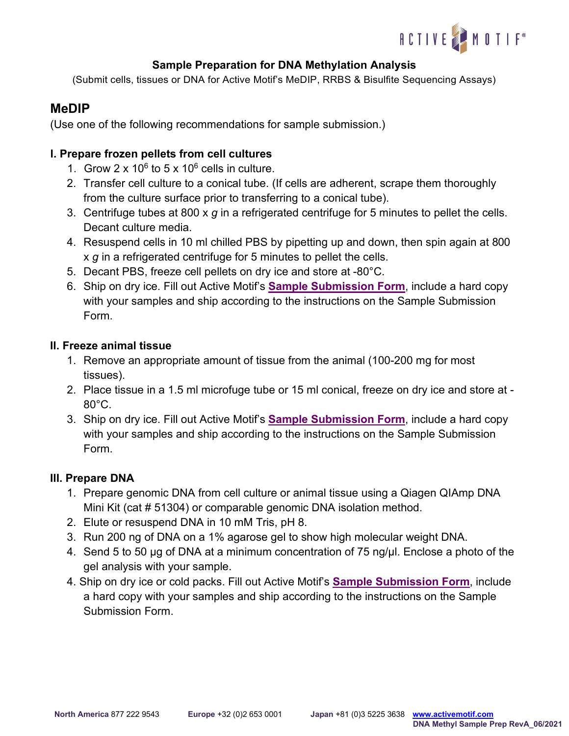

## **Sample Preparation for DNA Methylation Analysis**

(Submit cells, tissues or DNA for Active Motif's MeDIP, RRBS & Bisulfite Sequencing Assays)

# **MeDIP**

(Use one of the following recommendations for sample submission.)

### **I. Prepare frozen pellets from cell cultures**

- 1. Grow  $2 \times 10^6$  to  $5 \times 10^6$  cells in culture.
- 2. Transfer cell culture to a conical tube. (If cells are adherent, scrape them thoroughly from the culture surface prior to transferring to a conical tube).
- 3. Centrifuge tubes at 800 x *g* in a refrigerated centrifuge for 5 minutes to pellet the cells. Decant culture media.
- 4. Resuspend cells in 10 ml chilled PBS by pipetting up and down, then spin again at 800 x *g* in a refrigerated centrifuge for 5 minutes to pellet the cells.
- 5. Decant PBS, freeze cell pellets on dry ice and store at -80°C.
- 6. Ship on dry ice. Fill out Active Motif's **[Sample Submission Form](https://www.activemotif.com/catalog/1071/dna-methylation-services)**, include a hard copy with your samples and ship according to the instructions on the Sample Submission Form.

### **II. Freeze animal tissue**

- 1. Remove an appropriate amount of tissue from the animal (100-200 mg for most tissues).
- 2. Place tissue in a 1.5 ml microfuge tube or 15 ml conical, freeze on dry ice and store at 80°C.
- 3. Ship on dry ice. Fill out Active Motif's **[Sample Submission Form](https://www.activemotif.com/catalog/1071/dna-methylation-services)**, include a hard copy with your samples and ship according to the instructions on the Sample Submission Form.

### **III. Prepare DNA**

- 1. Prepare genomic DNA from cell culture or animal tissue using a Qiagen QIAmp DNA Mini Kit (cat # 51304) or comparable genomic DNA isolation method.
- 2. Elute or resuspend DNA in 10 mM Tris, pH 8.
- 3. Run 200 ng of DNA on a 1% agarose gel to show high molecular weight DNA.
- 4. Send 5 to 50 µg of DNA at a minimum concentration of 75 ng/µl. Enclose a photo of the gel analysis with your sample.
- 4. Ship on dry ice or cold packs. Fill out Active Motif's **[Sample Submission Form](https://www.activemotif.com/catalog/1071/dna-methylation-services)**, include a hard copy with your samples and ship according to the instructions on the Sample Submission Form.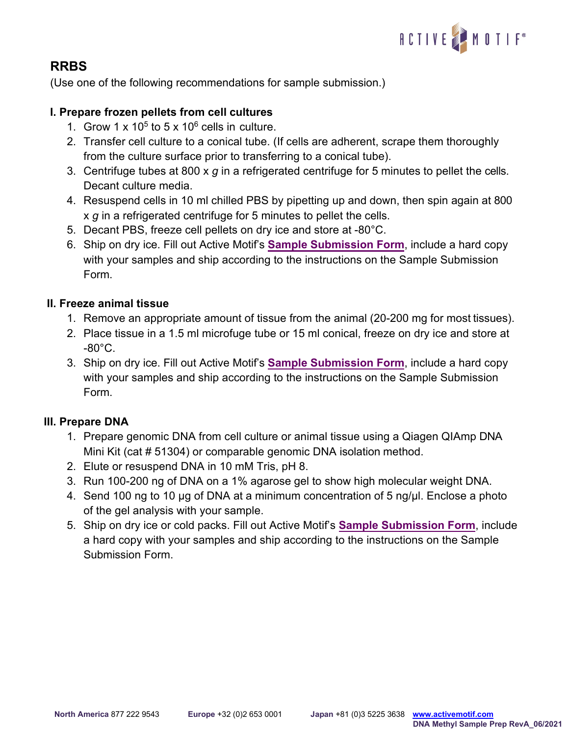

# **RRBS**

(Use one of the following recommendations for sample submission.)

### **I. Prepare frozen pellets from cell cultures**

- 1. Grow  $1 \times 10^5$  to  $5 \times 10^6$  cells in culture.
- 2. Transfer cell culture to a conical tube. (If cells are adherent, scrape them thoroughly from the culture surface prior to transferring to a conical tube).
- 3. Centrifuge tubes at 800 x *g* in a refrigerated centrifuge for 5 minutes to pellet the cells. Decant culture media.
- 4. Resuspend cells in 10 ml chilled PBS by pipetting up and down, then spin again at 800 x *g* in a refrigerated centrifuge for 5 minutes to pellet the cells.
- 5. Decant PBS, freeze cell pellets on dry ice and store at -80°C.
- 6. Ship on dry ice. Fill out Active Motif's **[Sample Submission Form](https://www.activemotif.com/catalog/1071/dna-methylation-services)**, include a hard copy with your samples and ship according to the instructions on the Sample Submission Form.

### **II. Freeze animal tissue**

- 1. Remove an appropriate amount of tissue from the animal (20-200 mg for most tissues).
- 2. Place tissue in a 1.5 ml microfuge tube or 15 ml conical, freeze on dry ice and store at -80°C.
- 3. Ship on dry ice. Fill out Active Motif's **[Sample Submission Form](https://www.activemotif.com/catalog/1071/dna-methylation-services)**, include a hard copy with your samples and ship according to the instructions on the Sample Submission Form.

### **III. Prepare DNA**

- 1. Prepare genomic DNA from cell culture or animal tissue using a Qiagen QIAmp DNA Mini Kit (cat # 51304) or comparable genomic DNA isolation method.
- 2. Elute or resuspend DNA in 10 mM Tris, pH 8.
- 3. Run 100-200 ng of DNA on a 1% agarose gel to show high molecular weight DNA.
- 4. Send 100 ng to 10 µg of DNA at a minimum concentration of 5 ng/µl. Enclose a photo of the gel analysis with your sample.
- 5. Ship on dry ice or cold packs. Fill out Active Motif's **[Sample Submission Form](https://www.activemotif.com/catalog/1071/dna-methylation-services)**, include a hard copy with your samples and ship according to the instructions on the Sample Submission Form.